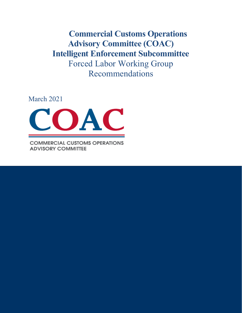**Commercial Customs Operations Advisory Committee (COAC) Intelligent Enforcement Subcommittee** Forced Labor Working Group Recommendations

March 2021



**COMMERCIAL CUSTOMS OPERATIONS ADVISORY COMMITTEE**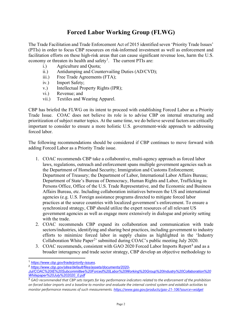## **Forced Labor Working Group (FLWG)**

The Trade Facilitation and Trade Enforcement Act of 2015 identified seven 'Priority Trade Issues' (PTIs) in order to focus CBP resources on risk-informed investment as well as enforcement and facilitation efforts on these high-risk areas that can cause significant revenue loss, harm the U.S. economy or threaten its health and safety<sup>[1](#page-1-0)</sup>. The current PTIs are:

- i.) Agriculture and Quota;
- ii.) Antidumping and Countervailing Duties (AD/CVD);
- iii.) Free Trade Agreements (FTA);
- iv.) Import Safety;
- v.) Intellectual Property Rights (IPR);
- vi.) Revenue; and
- vii.) Textiles and Wearing Apparel.

CBP has briefed the FLWG on its intent to proceed with establishing Forced Labor as a Priority Trade Issue. COAC does not believe its role is to advise CBP on internal structuring and prioritization of subject matter topics. At the same time, we do believe several factors are critically important to consider to ensure a more holistic U.S. government-wide approach to addressing forced labor.

The following recommendations should be considered if CBP continues to move forward with adding Forced Labor as a Priority Trade issue.

- 1. COAC recommends CBP take a collaborative, multi-agency approach as forced labor laws, regulations, outreach and enforcement spans multiple government agencies such as the Department of Homeland Security; Immigration and Customs Enforcement; Department of Treasury; the Department of Labor, International Labor Affairs Bureau; Department of State's Bureau of Democracy, Human Rights and Labor, Trafficking in Persons Office, Office of the U.S. Trade Representative, and the Economic and Business Affairs Bureau, etc. Including collaboration initiatives between the US and international agencies (e.g. U.S. Foreign assistance programs directed to mitigate forced labor practices at the source countries with localized government's enforcement. To ensure a synchronized strategy, CBP should utilize the expert resources of all relevant US government agencies as well as engage more extensively in dialogue and priority setting with the trade.
- 2. COAC recommends CBP expand its collaboration and communication with trade sectors/industries, identifying and sharing best practices, including government to industry efforts to minimize forced labor in supply chains as highlighted in the 'Industry Collaboration White Paper<sup>[2](#page-1-1)</sup>' submitted during COAC's public meeting July 2020.
- [3](#page-1-2). COAC recommends, consistent with GAO 2020 Forced Labor Imports Report<sup>3</sup> and as a broader interagency and trade sector strategy, CBP develop an objective methodology to

<span id="page-1-0"></span><sup>1</sup> *[https://www.cbp.gov/trade/priority-issues.](https://www.cbp.gov/trade/priority-issues)*

<span id="page-1-1"></span><sup>2</sup> *[https://www.cbp.gov/sites/default/files/assets/documents/2020-](https://www.cbp.gov/sites/default/files/assets/documents/2020-Jul/COAC%20IE%20Subcommittee%20Forced%20Labor%20Working%20Group%20Industry%20Collaboration%20Whitepaper%20July%202020_0.pdf)*

*[Jul/COAC%20IE%20Subcommittee%20Forced%20Labor%20Working%20Group%20Industry%20Collaboration%20](https://www.cbp.gov/sites/default/files/assets/documents/2020-Jul/COAC%20IE%20Subcommittee%20Forced%20Labor%20Working%20Group%20Industry%20Collaboration%20Whitepaper%20July%202020_0.pdf) [Whitepaper%20July%202020\\_0.pdf](https://www.cbp.gov/sites/default/files/assets/documents/2020-Jul/COAC%20IE%20Subcommittee%20Forced%20Labor%20Working%20Group%20Industry%20Collaboration%20Whitepaper%20July%202020_0.pdf)*

<span id="page-1-2"></span><sup>3</sup> *GAO recommended that CBP sets targets for key performance indicators related to the enforcement of the prohibition on forced labor imports and a baseline to monitor and evaluate the internal control system and establish activities to monitor performance measures of such measurements. <https://www.gao.gov/products/gao-21-106?source=widget>*